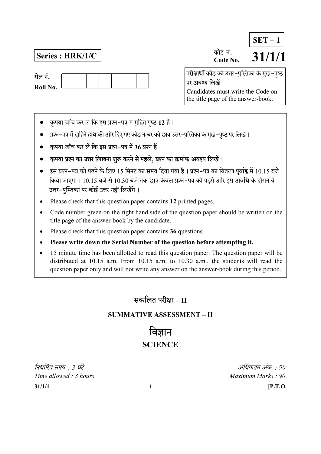रोल नं.

Roll No.

## Series : HRK/1/C  $\overline{\text{S}^{\text{miss}\text{ } \dot{\tau}}}.$   $\overline{\text{S}^{\text{31}}/1/1}$ Code No.  $SET - 1$

परीक्षार्थी कोड को उत्तर-पुस्तिका के मुख-पुष्ठ पर अवश्य लिखें । Candidates must write the Code on the title page of the answer-book.

- कृपया जाँच कर लें कि इस प्रश्न-पत्र में मुद्रित पृष्ठ 12 हैं।
- प्रश्न-पत्र में दाहिने हाथ की ओर दिए गए कोड नम्बर को छात्र उत्तर-पुस्तिका के मुख-पृष्ठ पर लिखें।
- कृपया जाँच कर लें कि इस प्रश्न–पत्र में 36 प्रश्न हैं।
- कृपया प्रश्न का उत्तर लिखना शुरू करने से पहले, प्रश्न का क्रमांक अवश्य लिखें।
- इस प्रश्न–पत्र को पढने के लिए 15 मिनट का समय दिया गया है। प्रश्न–पत्र का वितरण पर्वाह्न में 10.15 बजे किया जाएगा। 10.15 बजे से 10.30 बजे तक छात्र केवल प्रश्न–पत्र को पढेंगे और इस अवधि के दौरान वे उत्तर-पुस्तिका पर कोई उत्तर नहीं लिखेंगे।
- Please check that this question paper contains 12 printed pages.
- Code number given on the right hand side of the question paper should be written on the title page of the answer-book by the candidate.
- Please check that this question paper contains 36 questions.
- Please write down the Serial Number of the question before attempting it.
- 15 minute time has been allotted to read this question paper. The question paper will be distributed at 10.15 a.m. From 10.15 a.m. to 10.30 a.m., the students will read the question paper only and will not write any answer on the answer-book during this period.

# संकलित परीक्षा <sub>–</sub> II

### SUMMATIVE ASSESSMENT – II

विज्ञान **SCIENCE** 

 $31/1/1$  [P.T.O. : 3 : 90 Time allowed : 3 hours Maximum Marks : 90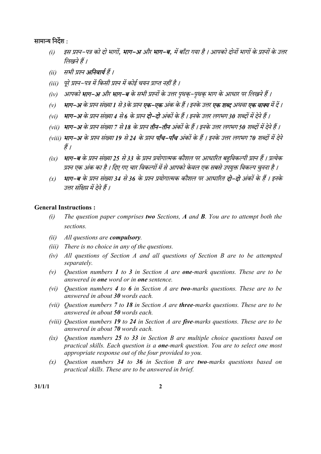#### सामान्य निर्देश :

- (i) इस प्रश्न-पत्र को दो भागों, **भाग-अ** और **भाग-ब**, में बाँटा गया है । आपको दोनों भागों के प्रश्नों के उत्तर लिखने हैं ।
- (ii) सभी प्रश्न **अनिवार्य** हैं ।
- (iii) पूरे प्रश्न–पत्र में किसी प्रश्न में कोई चयन प्राप्त नहीं है ।
- (iv) आपको **भाग–अ** और **भाग–ब** के सभी प्रश्नों के उत्तर पृथकृ–पृथकृ भाग के आधार पर लिखने हैं ।
- (v) **भाग-अ** के प्रश्न संख्या 1 से 3 के प्रश्न **एक-एक** अंक के हैं। इनके उत्तर **एक शब्द** अथवा **एक वाक्य** में दें।
- (vi) भाग-अ के प्रश्न संख्या 4 से 6 के प्रश्न **दो-दो** अंकों के हैं । इनके उत्तर लगभग 30 शब्दों में देने हैं ।
- (vii) भाग-अ के प्रश्न संख्या 7 से 18 के प्रश्न **तीन–तीन** अंकों के हैं । इनके उत्तर लगभग 50 शब्दों में देने हैं ।
- (viii) **भाग-अ** के प्रश्न संख्या 19 से 24 के प्रश्न **पाँच-पाँच** अंकों के हैं । इनके उत्तर लगभग 70 शब्दों में देने हैं /
- (ix) भाग-ब के प्रश्न संख्या 25 से 33 के प्रश्न प्रयोगात्मक कौशल पर आधारित बहविकल्पी प्रश्न हैं । प्रत्येक प्रश्न एक अंक का है । दिए गए चार विकल्पों में से आपको केवल एक सबसे उपयुक्त विकल्प चुनना है ।
- (x) भाग-ब के प्रश्न संख्या 34 से 36 के प्रश्न प्रयोगात्मक कौशल पर आधारित **दो-दो** अंकों के हैं । इनके उत्तर संक्षिप्त में देने हैं ।

#### General Instructions :

- (i) The question paper comprises two Sections,  $A$  and  $B$ . You are to attempt both the sections.
- $(ii)$  All questions are **compulsory**.
- (iii) There is no choice in any of the questions.
- (iv) All questions of Section A and all questions of Section B are to be attempted separately.
- (v) Ouestion numbers 1 to 3 in Section A are **one-**mark questions. These are to be answered in one word or in one sentence.
- (vi) Ouestion numbers  $4$  to  $6$  in Section  $A$  are two-marks questions. These are to be answered in about 30 words each.
- (vii) Ouestion numbers  $7$  to 18 in Section A are three-marks questions. These are to be answered in about 50 words each.
- (viii) Ouestion numbers 19 to 24 in Section A are five-marks questions. These are to be answered in about 70 words each.
- $(ix)$  Ouestion numbers 25 to 33 in Section B are multiple choice questions based on practical skills. Each question is a **one-**mark question. You are to select one most appropriate response out of the four provided to you.
- $(x)$  Question numbers 34 to 36 in Section B are two-marks questions based on practical skills. These are to be answered in brief.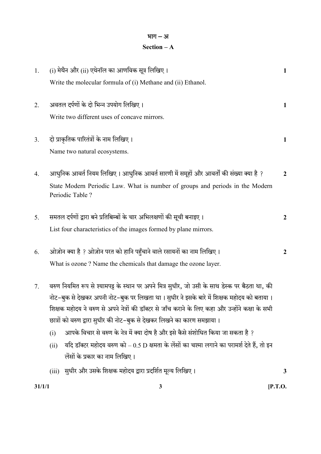#### भाग $-$ अ Section – A

| 31/1/1 |                                                                                                                                                                                              | $\mathbf{3}$                                                                                      | $[$ P.T.O.       |
|--------|----------------------------------------------------------------------------------------------------------------------------------------------------------------------------------------------|---------------------------------------------------------------------------------------------------|------------------|
|        | (iii)                                                                                                                                                                                        | सुधीर और उसके शिक्षक महोदय द्वारा प्रदर्शित मूल्य लिखिए।                                          | 3                |
|        | (ii)                                                                                                                                                                                         | लेंसों के प्रकार का नाम लिखिए।                                                                    |                  |
|        |                                                                                                                                                                                              | यदि डॉक्टर महोदय वरुण को – 0.5 D क्षमता के लेंसों का चश्मा लगाने का परामर्श देते हैं, तो इन       |                  |
|        | (i)                                                                                                                                                                                          | आपके विचार से वरुण के नेत्र में क्या दोष है और इसे कैसे संशोधित किया जा सकता है ?                 |                  |
|        | छात्रों को वरुण द्वारा सुधीर की नोट–बुक से देखकर लिखने का कारण समझाया ।                                                                                                                      |                                                                                                   |                  |
|        | नोट–बुक से देखकर अपनी नोट–बुक पर लिखता था। सुधीर ने इसके बारे में शिक्षक महोदय को बताया।<br>शिक्षक महोदय ने वरुण से अपने नेत्रों की डॉक्टर से जाँच कराने के लिए कहा और उन्होंने कक्षा के सभी |                                                                                                   |                  |
| 7.     | वरुण नियमित रूप से श्यामपट्ट के स्थान पर अपने मित्र सुधीर, जो उसी के साथ डेस्क पर बैठता था, की                                                                                               |                                                                                                   |                  |
|        | What is ozone? Name the chemicals that damage the ozone layer.                                                                                                                               |                                                                                                   |                  |
| 6.     |                                                                                                                                                                                              | ओज़ोन क्या है ? ओज़ोन परत को हानि पहुँचाने वाले रसायनों का नाम लिखिए।                             | $\boldsymbol{2}$ |
|        | List four characteristics of the images formed by plane mirrors.                                                                                                                             |                                                                                                   |                  |
| 5.     |                                                                                                                                                                                              | समतल दर्पणों द्वारा बने प्रतिबिम्बों के चार अभिलक्षणों की सूची बनाइए ।                            | $\boldsymbol{2}$ |
|        |                                                                                                                                                                                              | State Modern Periodic Law. What is number of groups and periods in the Modern<br>Periodic Table ? |                  |
| 4.     | आधुनिक आवर्त नियम लिखिए । आधुनिक आवर्त सारणी में समूहों और आवर्तों की संख्या क्या है ?                                                                                                       |                                                                                                   | $\overline{2}$   |
|        | Name two natural ecosystems.                                                                                                                                                                 |                                                                                                   |                  |
| 3.     |                                                                                                                                                                                              | दो प्राकृतिक पारितंत्रों के नाम लिखिए।                                                            | 1                |
|        |                                                                                                                                                                                              | Write two different uses of concave mirrors.                                                      |                  |
| 2.     |                                                                                                                                                                                              | अवतल दर्पणों के दो भिन्न उपयोग लिखिए।                                                             | 1                |
|        |                                                                                                                                                                                              | Write the molecular formula of (i) Methane and (ii) Ethanol.                                      |                  |
| 1.     |                                                                                                                                                                                              | (i) मेथैन और (ii) एथेनॉल का आणविक सूत्र लिखिए।                                                    | $\mathbf{1}$     |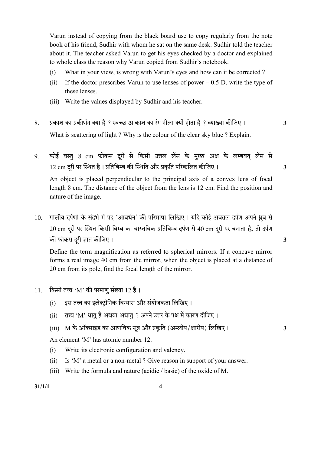Varun instead of copying from the black board use to copy regularly from the note book of his friend, Sudhir with whom he sat on the same desk. Sudhir told the teacher about it. The teacher asked Varun to get his eyes checked by a doctor and explained to whole class the reason why Varun copied from Sudhir's notebook.

- (i) What in your view, is wrong with Varun's eyes and how can it be corrected ?
- (ii) If the doctor prescribes Varun to use lenses of power  $-0.5$  D, write the type of these lenses.
- (iii) Write the values displayed by Sudhir and his teacher.
- 8. प्रकाश का प्रकीर्णन क्या है ? स्वच्छ आकाश का रंग नीला क्यों होता है ? व्याख्या कीजिए । 3 What is scattering of light ? Why is the colour of the clear sky blue ? Explain.
- 9. कोई वस्तु 8 cm फोकस दूरी से किसी उत्तल लेंस के मुख्य अक्ष के लम्बवत लेंस से  $12 \text{ cm}$  दुरी पर स्थित है। प्रतिबिम्ब की स्थिति और प्रकृति परिकलित कीजिए।  $\,$

An object is placed perpendicular to the principal axis of a convex lens of focal length 8 cm. The distance of the object from the lens is 12 cm. Find the position and nature of the image.

10. गोलीय दर्पणों के संदर्भ में पद 'आवर्धन' की परिभाषा लिखिए । यदि कोई अवतल दर्पण अपने ध्रुव से  $20 \text{ cm}$  दरी पर स्थित किसी बिम्ब का वास्तविक प्रतिबिम्ब दर्पण से 40 cm दरी पर बनाता है, तो दर्पण की फोकस दरी ज्ञात कीजिए । सामान्य कालोक करने के साथ प्रकाश करने के अन्य प्रकाश कर अपने अपने अपने अपने अपने अधि

Define the term magnification as referred to spherical mirrors. If a concave mirror forms a real image 40 cm from the mirror, when the object is placed at a distance of 20 cm from its pole, find the focal length of the mirror.

- 11. किसी तत्त्व 'M' की परमाणु संख्या 12 है।
	- (i) इस तत्त्व का इलेक्ट्रॉनिक विन्यास और संयोजकता लिखिए।
	- (ii) तत्त्व 'M' धातु है अथवा अधातु ? अपने उत्तर के पक्ष में कारण दीजिए।
	- (iii) M के ऑक्साइड का आणविक सूत्र और प्रकृति (अम्लीय/क्षारीय) लिखिए। 3

An element 'M' has atomic number 12.

- (i) Write its electronic configuration and valency.
- (ii) Is 'M' a metal or a non-metal ? Give reason in support of your answer.
- (iii) Write the formula and nature (acidic / basic) of the oxide of M.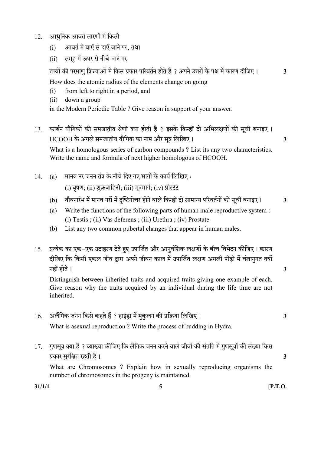- 12. आधुनिक आवर्त सारणी में किसी
	- (i) अावर्त में बाएँ से दाएँ जाने पर, तथा
	- (ii) समह में ऊपर से नीचे जाने पर

? 3

How does the atomic radius of the elements change on going

- (i) from left to right in a period, and
- (ii) down a group

in the Modern Periodic Table ? Give reason in support of your answer.

13. कार्बन यौगिकों की समजातीय श्रेणी क्या होती है ? इसके किन्हीं दो अभिलक्षणों की सूची बनाइए ।  $HCOOH$  के अगले समजातीय यौगिक का नाम और सत्र लिखिए ।  $\hspace{1.5cm} 3$ 

What is a homologous series of carbon compounds ? List its any two characteristics. Write the name and formula of next higher homologous of HCOOH.

- 14. (a) मानव नर जनन तंत्र के नीचे दिए गए भागों के कार्य लिखिए: (i) वषण: (ii) शक्रवाहिनी: (iii) मत्रमार्ग: (iv) प्रोस्टेट
	- (b) यौवनारंभ में मानव नरों में दुष्टिगोचर होने वाले किन्हीं दो सामान्य परिवर्तनों की सूची बनाइए। 3
	- (a) Write the functions of the following parts of human male reproductive system : (i) Testis ; (ii) Vas deferens ; (iii) Urethra ; (iv) Prostate
	- (b) List any two common pubertal changes that appear in human males.
- 15. प्रत्येक का एक-एक उदाहरण देते हुए उपार्जित और आनुवंशिक लक्षणों के बीच विभेदन कीजिए। कारण दीजिए कि किसी एकल जीव द्वारा अपने जीवन काल में उपार्जित लक्षण अगली पीढी में वंशानगत क्यों 3

Distinguish between inherited traits and acquired traits giving one example of each. Give reason why the traits acquired by an individual during the life time are not inherited.

- $16.$  अलैंगिक जनन किसे कहते हैं ? हाइड़ा में मुकुलन की प्रक्रिया लिखिए।  $\,$ What is asexual reproduction ? Write the process of budding in Hydra.
- 17. गुणसूत्र क्या हैं ? व्याख्या कीजिए कि लैंगिक जनन करने वाले जीवों की संतति में गुणसूत्रों की संख्या किस 3

What are Chromosomes ? Explain how in sexually reproducing organisms the number of chromosomes in the progeny is maintained.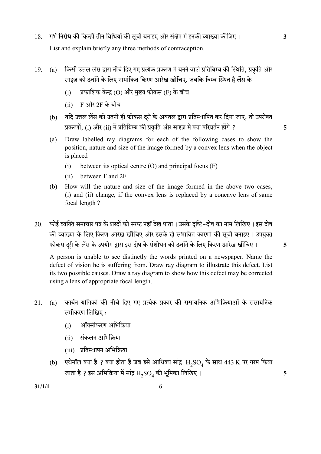- 18. गर्भ निरोध की किन्हीं तीन विधियों की सूची बनाइए और संक्षेप में इनकी व्याख्या कीजिए। 3 List and explain briefly any three methods of contraception.
- 19. (a) किसी उत्तल लेंस द्वारा नीचे दिए गए प्रत्येक प्रकरण में बनने वाले प्रतिबिम्ब की स्थिति, प्रकृति और साइज़ को दर्शाने के लिए नामांकित किरण आरेख खींचिए, जबकि बिम्ब स्थित है लेंस के
	- $(i)$  प्रकाशिक केन्द्र  $(O)$  और मुख्य फोकस  $(F)$  के बीच
	- $(ii)$  F और 2F के बीच
	- (b) यदि उत्तल लेंस को उतनी ही फोकस दरी के अवतल द्वारा प्रतिस्थापित कर दिया जाए, तो उपरोक्त प्रकरणों, (i) और (ii) में प्रतिबिम्ब की प्रकृति और साइज़ में क्या परिवर्तन होंगे ? 5
	- (a) Draw labelled ray diagrams for each of the following cases to show the position, nature and size of the image formed by a convex lens when the object is placed
		- (i) between its optical centre (O) and principal focus (F)
		- (ii) between F and 2F
	- (b) How will the nature and size of the image formed in the above two cases, (i) and (ii) change, if the convex lens is replaced by a concave lens of same focal length ?
- 20. कोई व्यक्ति समाचार पत्र के शब्दों को स्पष्ट नहीं देख पाता । उसके दृष्टि–दोष का नाम लिखिए । इस दोष की व्याख्या के लिए किरण आरेख खींचिए और इसके दो संभावित कारणों की सूची बनाइए । उपयुक्त फोकस दरी के लेंस के उपयोग द्वारा इस दोष के संशोधन को दर्शाने के लिए किरण आरेख खींचिए । 5

A person is unable to see distinctly the words printed on a newspaper. Name the defect of vision he is suffering from. Draw ray diagram to illustrate this defect. List its two possible causes. Draw a ray diagram to show how this defect may be corrected using a lens of appropriate focal length.

- 21. (a) कार्बन यौगिकों की नीचे दिए गए प्रत्येक प्रकार की रासायनिक अभिक्रियाओं के रासायनिक समीकरण लिखिए:
	- (i) ऑक्सीकरण अभिक्रिया
	- (ii) संकलन अभिक्रिया
	- (iii) प्रतिस्थापन अभिक्रिया
- (b) एथेनॉल क्या है ? क्या होता है जब इसे आधिक्य सांद्र  $\rm{H_2SO_4}$  के साथ 443 K पर गरम किया जाता है ? इस अभिक्रिया में सांद्र  ${\rm H_2SO_4}$  की भूमिका लिखिए ।  $\hphantom{\text{1}}\qquad \qquad \text{5}$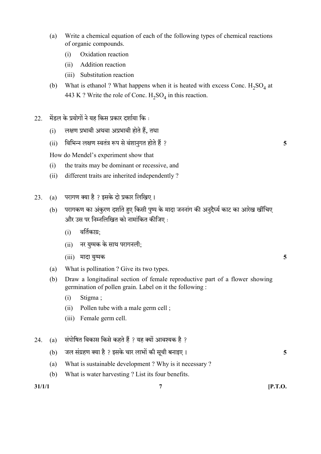- (a) Write a chemical equation of each of the following types of chemical reactions of organic compounds.
	- (i) Oxidation reaction
	- (ii) Addition reaction
	- (iii) Substitution reaction
- (b) What is ethanol ? What happens when it is heated with excess Conc.  $H_2SO_4$  at 443 K ? Write the role of Conc.  $H_2SO_4$  in this reaction.
- $22.$  मेंडल के प्रयोगों ने यह किस प्रकार दर्शाया कि:
	- $(i)$  लक्षण प्रभावी अथवा अप्रभावी होते हैं, तथा
	- (ii) ? 5

How do Mendel's experiment show that

- (i) the traits may be dominant or recessive, and
- (ii) different traits are inherited independently ?
- 23. (a) परागण क्या है ? इसके दो प्रकार लिखिए।
	- (b) परागकण का अंकरण दर्शाते हुए किसी पुष्प के मादा जननांग की अनुदैर्घ्य काट का आरेख खींचिए और उस पर निम्नलिखित को नामांकित कीजिए :
		- $(i)$  वर्तिकाग्र;
		- (ii) नर युग्मक के साथ परागनली:
		- $(iii)$  मादा यग्मक  $5$
	- (a) What is pollination ? Give its two types.
	- (b) Draw a longitudinal section of female reproductive part of a flower showing germination of pollen grain. Label on it the following :
		- (i) Stigma ;
		- (ii) Pollen tube with a male germ cell ;
		- (iii) Female germ cell.
- 24. (a) संपोषित विकास किसे कहते हैं ? यह क्यों आवश्यक है ?
	- (b) जल संग्रहण क्या है ? इसके चार लाभों की सूची बनाइए ।  $\,$
	- (a) What is sustainable development ? Why is it necessary ?
	- (b) What is water harvesting ? List its four benefits.

 $31/1/1$  [P.T.O.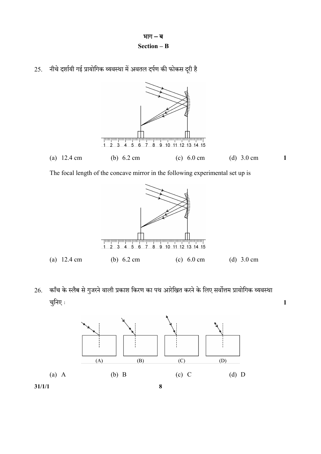





The focal length of the concave mirror in the following experimental set up is



26. काँच के स्लैब से गुजरने वाली प्रकाश किरण का पथ आरेखित करने के लिए सर्वोत्तम प्रायोगिक व्यवस्था 1

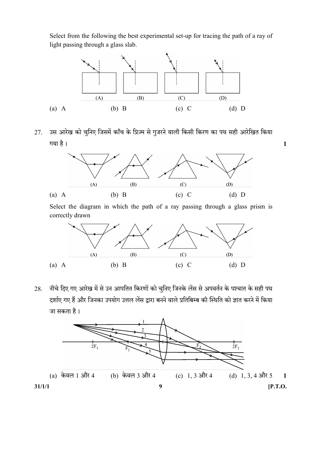Select from the following the best experimental set-up for tracing the path of a ray of light passing through a glass slab.



27. उस आरेख को चुनिए जिसमें काँच के प्रिज़्म से गुजरने वाली किसी किरण का पथ सही आरेखित किया 1



Select the diagram in which the path of a ray passing through a glass prism is correctly drawn



28. मीचे दिए गए आरेख में से उन आपतित किरणों को चुनिए जिनके लेंस से अपवर्तन के पश्चात के सही पथ दर्शाए गए हैं और जिनका उपयोग उत्तल लेंस द्वारा बनने वाले प्रतिबिम्ब की स्थिति को ज्ञात करने में किया जा सकता है।

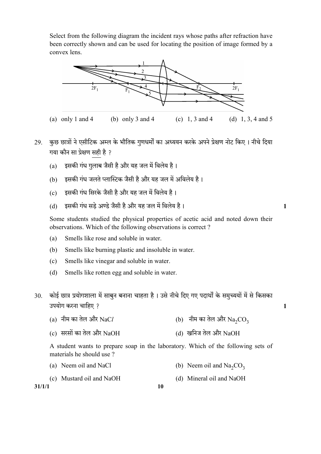Select from the following diagram the incident rays whose paths after refraction have been correctly shown and can be used for locating the position of image formed by a convex lens.



- 29. कुछ छात्रों ने एसीटिक अम्ल के भौतिक गुणधर्मों का अध्ययन करके अपने प्रेक्षण नोट किए । नीचे दिया गया कौन सा प्रेक्षण सही है ?
	- (a) इसकी गंध गुलाब जैसी है और यह जल में विलेय है।
	- (b) इसकी गंध जलते प्लास्टिक जैसी है और यह जल में अविलेय है।
	- (c) इसकी गंध सिरके जैसी है और यह जल में विलेय है।
	- (d) 1

Some students studied the physical properties of acetic acid and noted down their observations. Which of the following observations is correct ?

- (a) Smells like rose and soluble in water.
- (b) Smells like burning plastic and insoluble in water.
- (c) Smells like vinegar and soluble in water.
- (d) Smells like rotten egg and soluble in water.
- 30. कोई छात्र प्रयोगशाला में साबुन बनाना चाहता है। उसे नीचे दिए गए पदार्थों के समुच्ययों में से किसका ? 1
	- (a) नीम का तेल और NaCl  $\qquad$  (b) नीम का तेल और Na<sub>2</sub>CO<sub>3</sub>
	- (c) सरसों का तेल और  $NaOH$  (d) खनिज तेल और  $NaOH$

A student wants to prepare soap in the laboratory. Which of the following sets of materials he should use ?

- (a) Neem oil and NaCl (b) Neem oil and Na<sub>2</sub>CO<sub>3</sub>
- (c) Mustard oil and NaOH (d) Mineral oil and NaOH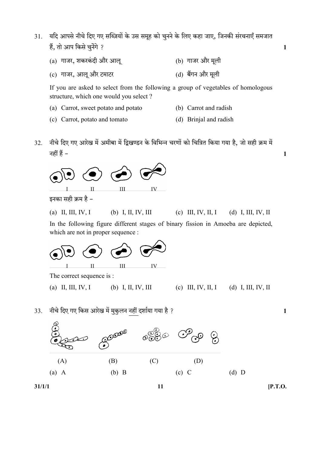- 31. यदि आपसे नीचे दिए गए सब्ज़ियों के उस समूह को चुनने के लिए कहा जाए, जिनकी संरचनाएँ समजात हैं, तो आप किसे चुनेंगे ? बाह्य करने के लिए किसी के बाद करने के लिए किसी के बाद कर रही है। अपनी के लिए किसी के
	- $(a)$  गाजर, शकरकंदी और आलू $(b)$  गाजर और मूली
	- (c) गाजर, आलू और टमाटर (d) बैंगन और मूली

If you are asked to select from the following a group of vegetables of homologous structure, which one would you select ?

- (a) Carrot, sweet potato and potato (b) Carrot and radish
- (c) Carrot, potato and tomato (d) Brinjal and radish
- 32. नीचे दिए गए आरेख में अमीबा में द्विखण्डन के विभिन्न चरणों को चित्रित किया गया है, जो सही क्रम में नहीं हैं – बाह्य प्रकाश करने के बाद करने के बाद करने के बाद करने के बाद करने के बाद करने के बाद करने के बाद क



इनका सही क्रम है –

(a) II, III, IV, I (b) I, II, IV, III (c) III, IV, II, I (d) I, III, IV, II

In the following figure different stages of binary fission in Amoeba are depicted, which are not in proper sequence :



33. ? 1